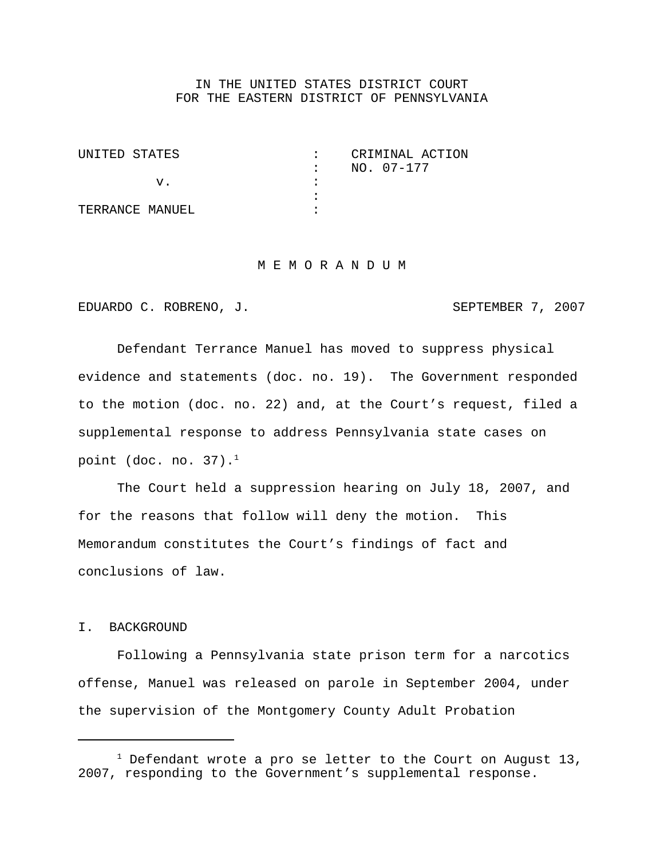# IN THE UNITED STATES DISTRICT COURT FOR THE EASTERN DISTRICT OF PENNSYLVANIA

| UNITED STATES   |  | CRIMINAL ACTION |
|-----------------|--|-----------------|
|                 |  | NO. 07-177      |
|                 |  |                 |
|                 |  |                 |
| TERRANCE MANUEL |  |                 |

## M E M O R A N D U M

EDUARDO C. ROBRENO, J. SEPTEMBER 7, 2007

Defendant Terrance Manuel has moved to suppress physical evidence and statements (doc. no. 19). The Government responded to the motion (doc. no. 22) and, at the Court's request, filed a supplemental response to address Pennsylvania state cases on point (doc. no.  $37$ ).<sup>1</sup>

The Court held a suppression hearing on July 18, 2007, and for the reasons that follow will deny the motion. This Memorandum constitutes the Court's findings of fact and conclusions of law.

### I. BACKGROUND

Following a Pennsylvania state prison term for a narcotics offense, Manuel was released on parole in September 2004, under the supervision of the Montgomery County Adult Probation

 $1$  Defendant wrote a pro se letter to the Court on August 13, 2007, responding to the Government's supplemental response.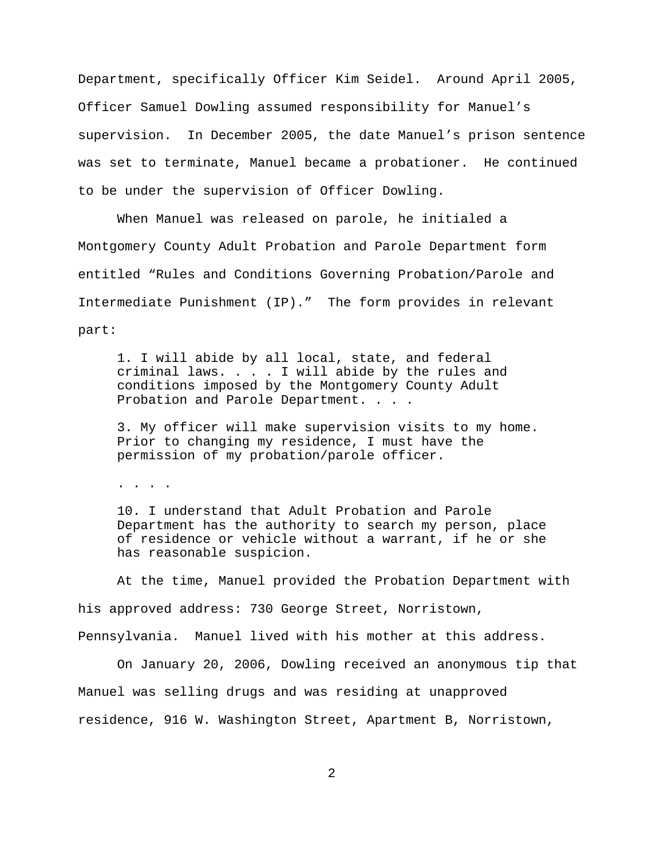Department, specifically Officer Kim Seidel. Around April 2005, Officer Samuel Dowling assumed responsibility for Manuel's supervision. In December 2005, the date Manuel's prison sentence was set to terminate, Manuel became a probationer. He continued to be under the supervision of Officer Dowling.

When Manuel was released on parole, he initialed a Montgomery County Adult Probation and Parole Department form entitled "Rules and Conditions Governing Probation/Parole and Intermediate Punishment (IP)." The form provides in relevant part:

1. I will abide by all local, state, and federal criminal laws. . . . I will abide by the rules and conditions imposed by the Montgomery County Adult Probation and Parole Department. . . .

3. My officer will make supervision visits to my home. Prior to changing my residence, I must have the permission of my probation/parole officer.

. . . .

10. I understand that Adult Probation and Parole Department has the authority to search my person, place of residence or vehicle without a warrant, if he or she has reasonable suspicion.

At the time, Manuel provided the Probation Department with his approved address: 730 George Street, Norristown, Pennsylvania. Manuel lived with his mother at this address.

On January 20, 2006, Dowling received an anonymous tip that Manuel was selling drugs and was residing at unapproved residence, 916 W. Washington Street, Apartment B, Norristown,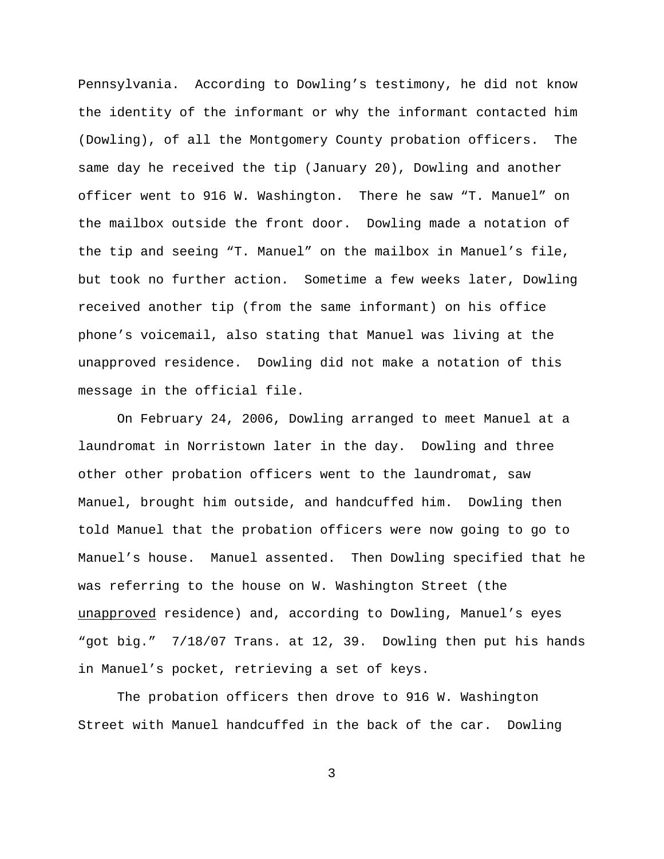Pennsylvania. According to Dowling's testimony, he did not know the identity of the informant or why the informant contacted him (Dowling), of all the Montgomery County probation officers. The same day he received the tip (January 20), Dowling and another officer went to 916 W. Washington. There he saw "T. Manuel" on the mailbox outside the front door. Dowling made a notation of the tip and seeing "T. Manuel" on the mailbox in Manuel's file, but took no further action. Sometime a few weeks later, Dowling received another tip (from the same informant) on his office phone's voicemail, also stating that Manuel was living at the unapproved residence. Dowling did not make a notation of this message in the official file.

On February 24, 2006, Dowling arranged to meet Manuel at a laundromat in Norristown later in the day. Dowling and three other other probation officers went to the laundromat, saw Manuel, brought him outside, and handcuffed him. Dowling then told Manuel that the probation officers were now going to go to Manuel's house. Manuel assented. Then Dowling specified that he was referring to the house on W. Washington Street (the unapproved residence) and, according to Dowling, Manuel's eyes "got big." 7/18/07 Trans. at 12, 39. Dowling then put his hands in Manuel's pocket, retrieving a set of keys.

The probation officers then drove to 916 W. Washington Street with Manuel handcuffed in the back of the car. Dowling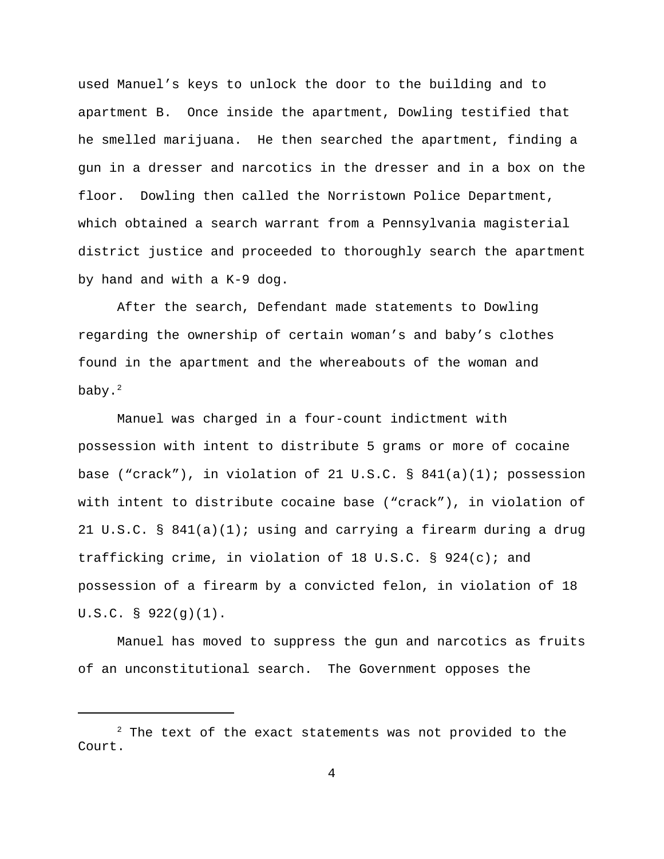used Manuel's keys to unlock the door to the building and to apartment B. Once inside the apartment, Dowling testified that he smelled marijuana. He then searched the apartment, finding a gun in a dresser and narcotics in the dresser and in a box on the floor. Dowling then called the Norristown Police Department, which obtained a search warrant from a Pennsylvania magisterial district justice and proceeded to thoroughly search the apartment by hand and with a K-9 dog.

After the search, Defendant made statements to Dowling regarding the ownership of certain woman's and baby's clothes found in the apartment and the whereabouts of the woman and baby. $^2$ 

Manuel was charged in a four-count indictment with possession with intent to distribute 5 grams or more of cocaine base ("crack"), in violation of 21 U.S.C.  $\S$  841(a)(1); possession with intent to distribute cocaine base ("crack"), in violation of 21 U.S.C. § 841(a)(1); using and carrying a firearm during a drug trafficking crime, in violation of 18 U.S.C. § 924(c); and possession of a firearm by a convicted felon, in violation of 18 U.S.C. § 922(g)(1).

Manuel has moved to suppress the gun and narcotics as fruits of an unconstitutional search. The Government opposes the

 $2$  The text of the exact statements was not provided to the Court.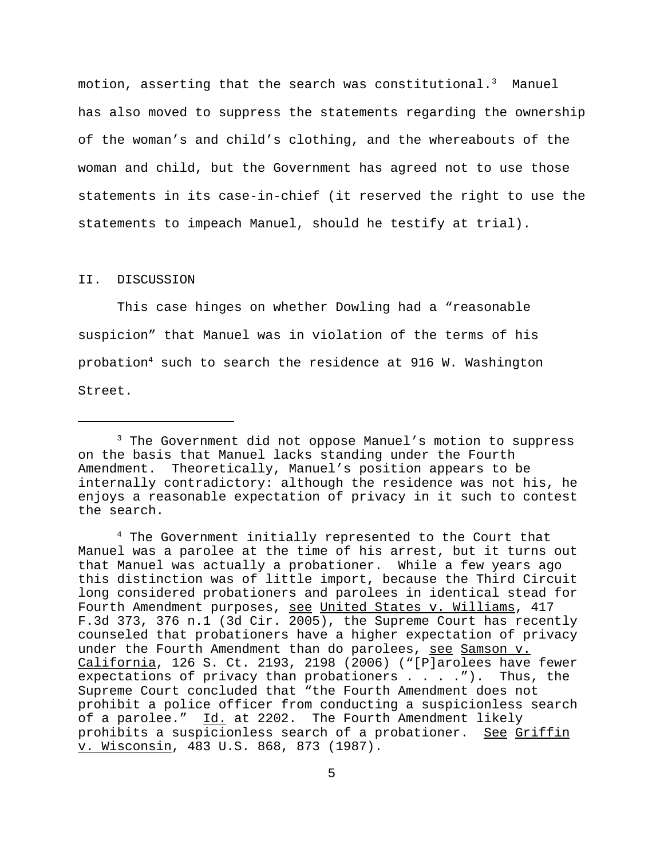motion, asserting that the search was constitutional.<sup>3</sup> Manuel has also moved to suppress the statements regarding the ownership of the woman's and child's clothing, and the whereabouts of the woman and child, but the Government has agreed not to use those statements in its case-in-chief (it reserved the right to use the statements to impeach Manuel, should he testify at trial).

#### II. DISCUSSION

This case hinges on whether Dowling had a "reasonable suspicion" that Manuel was in violation of the terms of his probation4 such to search the residence at 916 W. Washington Street.

<sup>&</sup>lt;sup>3</sup> The Government did not oppose Manuel's motion to suppress on the basis that Manuel lacks standing under the Fourth Amendment. Theoretically, Manuel's position appears to be internally contradictory: although the residence was not his, he enjoys a reasonable expectation of privacy in it such to contest the search.

 $4$  The Government initially represented to the Court that Manuel was a parolee at the time of his arrest, but it turns out that Manuel was actually a probationer. While a few years ago this distinction was of little import, because the Third Circuit long considered probationers and parolees in identical stead for Fourth Amendment purposes, see United States v. Williams, 417 F.3d 373, 376 n.1 (3d Cir. 2005), the Supreme Court has recently counseled that probationers have a higher expectation of privacy under the Fourth Amendment than do parolees, see Samson v. California, 126 S. Ct. 2193, 2198 (2006) ("[P]arolees have fewer expectations of privacy than probationers  $\dots$  . . . . . . . Thus, the Supreme Court concluded that "the Fourth Amendment does not prohibit a police officer from conducting a suspicionless search of a parolee." Id. at 2202. The Fourth Amendment likely prohibits a suspicionless search of a probationer. See Griffin v. Wisconsin, 483 U.S. 868, 873 (1987).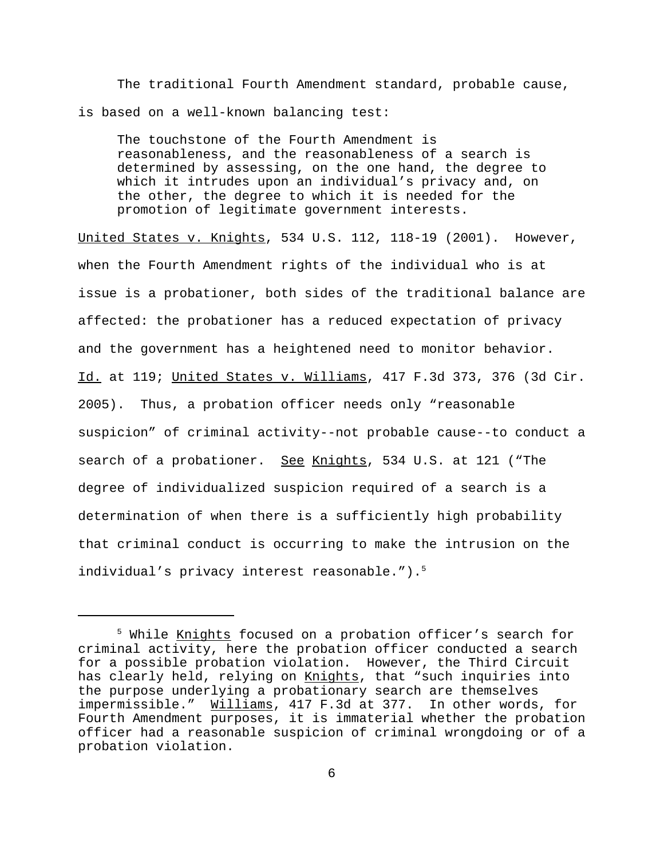The traditional Fourth Amendment standard, probable cause, is based on a well-known balancing test:

The touchstone of the Fourth Amendment is reasonableness, and the reasonableness of a search is determined by assessing, on the one hand, the degree to which it intrudes upon an individual's privacy and, on the other, the degree to which it is needed for the promotion of legitimate government interests.

United States v. Knights, 534 U.S. 112, 118-19 (2001). However, when the Fourth Amendment rights of the individual who is at issue is a probationer, both sides of the traditional balance are affected: the probationer has a reduced expectation of privacy and the government has a heightened need to monitor behavior. Id. at 119; United States v. Williams, 417 F.3d 373, 376 (3d Cir. 2005). Thus, a probation officer needs only "reasonable suspicion" of criminal activity--not probable cause--to conduct a search of a probationer. See Knights, 534 U.S. at 121 ("The degree of individualized suspicion required of a search is a determination of when there is a sufficiently high probability that criminal conduct is occurring to make the intrusion on the individual's privacy interest reasonable.").<sup>5</sup>

<sup>&</sup>lt;sup>5</sup> While Knights focused on a probation officer's search for criminal activity, here the probation officer conducted a search for a possible probation violation. However, the Third Circuit has clearly held, relying on Knights, that "such inquiries into the purpose underlying a probationary search are themselves impermissible." Williams, 417 F.3d at 377. In other words, for Fourth Amendment purposes, it is immaterial whether the probation officer had a reasonable suspicion of criminal wrongdoing or of a probation violation.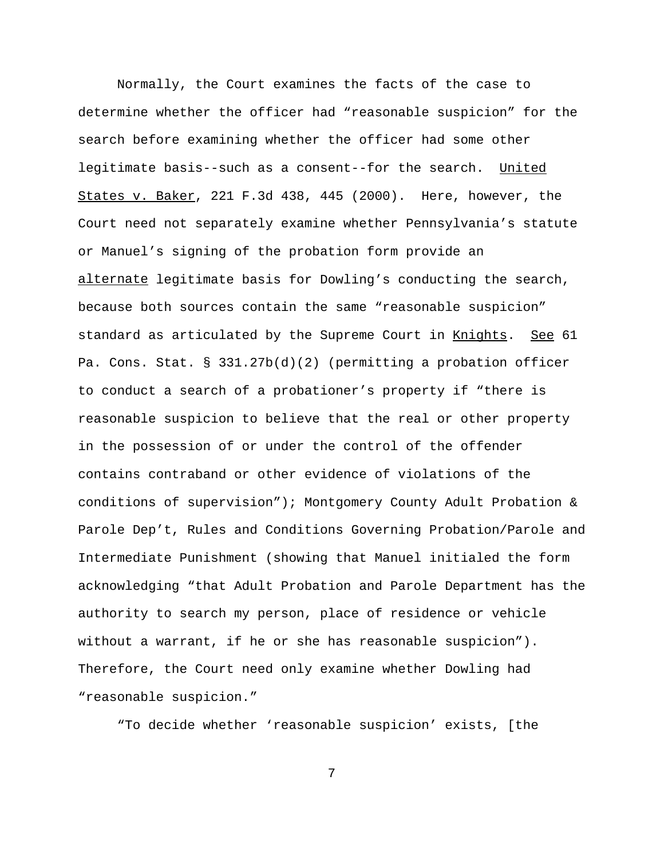Normally, the Court examines the facts of the case to determine whether the officer had "reasonable suspicion" for the search before examining whether the officer had some other legitimate basis--such as a consent--for the search. United States v. Baker, 221 F.3d 438, 445 (2000). Here, however, the Court need not separately examine whether Pennsylvania's statute or Manuel's signing of the probation form provide an alternate legitimate basis for Dowling's conducting the search, because both sources contain the same "reasonable suspicion" standard as articulated by the Supreme Court in Knights. See 61 Pa. Cons. Stat. § 331.27b(d)(2) (permitting a probation officer to conduct a search of a probationer's property if "there is reasonable suspicion to believe that the real or other property in the possession of or under the control of the offender contains contraband or other evidence of violations of the conditions of supervision"); Montgomery County Adult Probation & Parole Dep't, Rules and Conditions Governing Probation/Parole and Intermediate Punishment (showing that Manuel initialed the form acknowledging "that Adult Probation and Parole Department has the authority to search my person, place of residence or vehicle without a warrant, if he or she has reasonable suspicion"). Therefore, the Court need only examine whether Dowling had "reasonable suspicion."

"To decide whether 'reasonable suspicion' exists, [the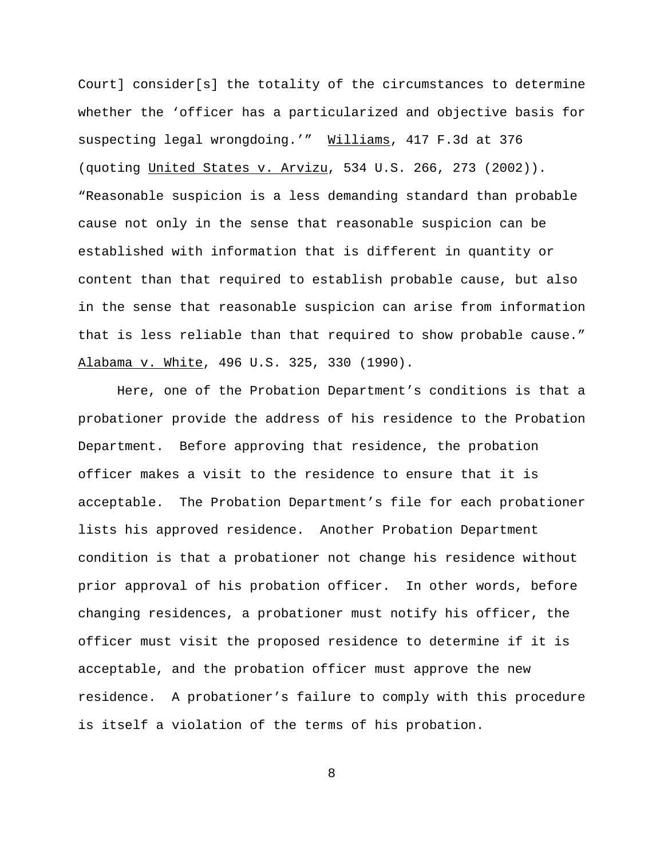Court] consider[s] the totality of the circumstances to determine whether the 'officer has a particularized and objective basis for suspecting legal wrongdoing.'" Williams, 417 F.3d at 376 (quoting United States v. Arvizu, 534 U.S. 266, 273 (2002)). "Reasonable suspicion is a less demanding standard than probable cause not only in the sense that reasonable suspicion can be established with information that is different in quantity or content than that required to establish probable cause, but also in the sense that reasonable suspicion can arise from information that is less reliable than that required to show probable cause." Alabama v. White, 496 U.S. 325, 330 (1990).

Here, one of the Probation Department's conditions is that a probationer provide the address of his residence to the Probation Department. Before approving that residence, the probation officer makes a visit to the residence to ensure that it is acceptable. The Probation Department's file for each probationer lists his approved residence. Another Probation Department condition is that a probationer not change his residence without prior approval of his probation officer. In other words, before changing residences, a probationer must notify his officer, the officer must visit the proposed residence to determine if it is acceptable, and the probation officer must approve the new residence. A probationer's failure to comply with this procedure is itself a violation of the terms of his probation.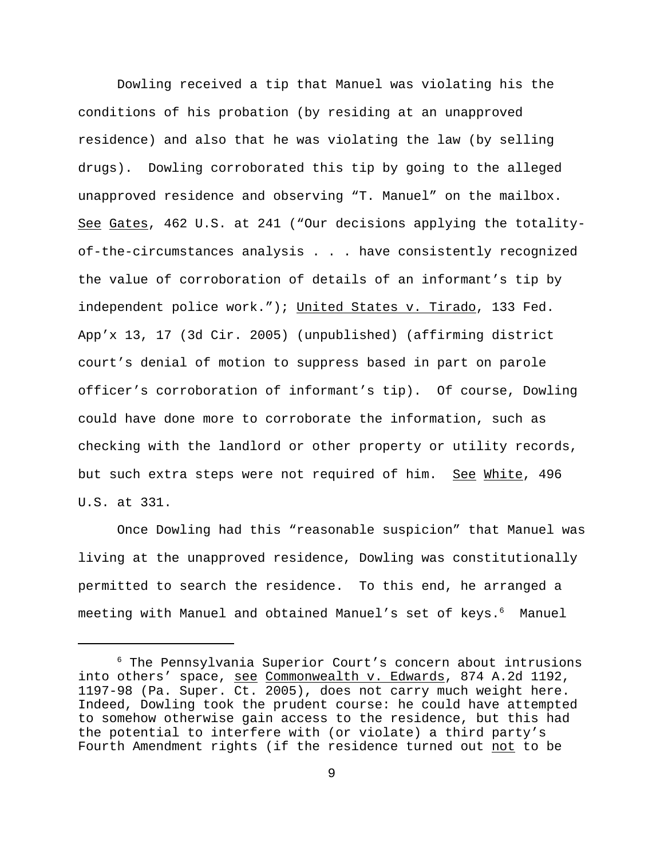Dowling received a tip that Manuel was violating his the conditions of his probation (by residing at an unapproved residence) and also that he was violating the law (by selling drugs). Dowling corroborated this tip by going to the alleged unapproved residence and observing "T. Manuel" on the mailbox. See Gates, 462 U.S. at 241 ("Our decisions applying the totalityof-the-circumstances analysis . . . have consistently recognized the value of corroboration of details of an informant's tip by independent police work."); United States v. Tirado, 133 Fed. App'x 13, 17 (3d Cir. 2005) (unpublished) (affirming district court's denial of motion to suppress based in part on parole officer's corroboration of informant's tip). Of course, Dowling could have done more to corroborate the information, such as checking with the landlord or other property or utility records, but such extra steps were not required of him. See White, 496 U.S. at 331.

Once Dowling had this "reasonable suspicion" that Manuel was living at the unapproved residence, Dowling was constitutionally permitted to search the residence. To this end, he arranged a meeting with Manuel and obtained Manuel's set of keys.<sup>6</sup> Manuel

 $6$  The Pennsylvania Superior Court's concern about intrusions into others' space, see Commonwealth v. Edwards, 874 A.2d 1192, 1197-98 (Pa. Super. Ct. 2005), does not carry much weight here. Indeed, Dowling took the prudent course: he could have attempted to somehow otherwise gain access to the residence, but this had the potential to interfere with (or violate) a third party's Fourth Amendment rights (if the residence turned out not to be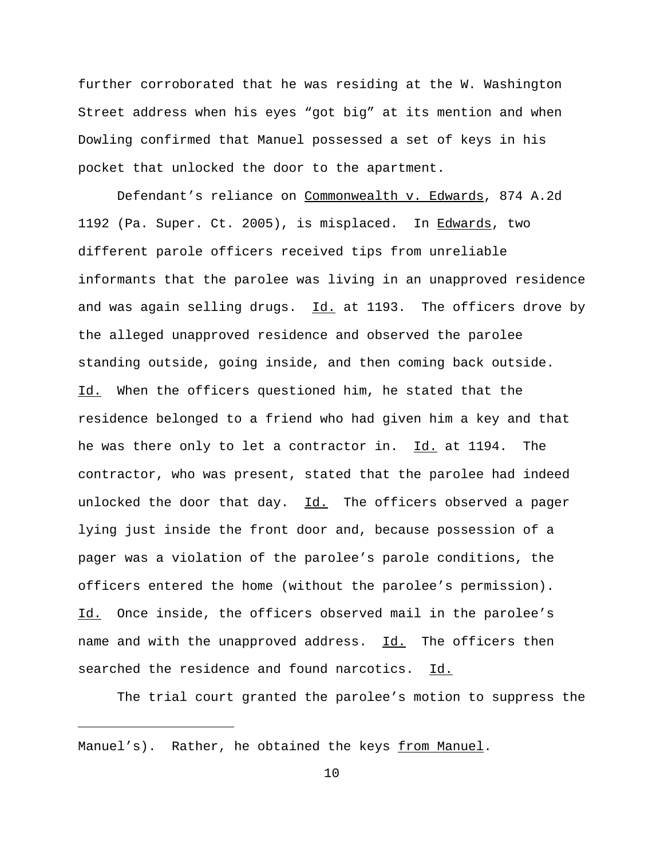further corroborated that he was residing at the W. Washington Street address when his eyes "got big" at its mention and when Dowling confirmed that Manuel possessed a set of keys in his pocket that unlocked the door to the apartment.

Defendant's reliance on Commonwealth v. Edwards, 874 A.2d 1192 (Pa. Super. Ct. 2005), is misplaced. In Edwards, two different parole officers received tips from unreliable informants that the parolee was living in an unapproved residence and was again selling drugs. Id. at 1193. The officers drove by the alleged unapproved residence and observed the parolee standing outside, going inside, and then coming back outside. Id. When the officers questioned him, he stated that the residence belonged to a friend who had given him a key and that he was there only to let a contractor in. Id. at 1194. The contractor, who was present, stated that the parolee had indeed unlocked the door that day. Id. The officers observed a pager lying just inside the front door and, because possession of a pager was a violation of the parolee's parole conditions, the officers entered the home (without the parolee's permission). Id. Once inside, the officers observed mail in the parolee's name and with the unapproved address. Id. The officers then searched the residence and found narcotics. Id.

The trial court granted the parolee's motion to suppress the

Manuel's). Rather, he obtained the keys from Manuel.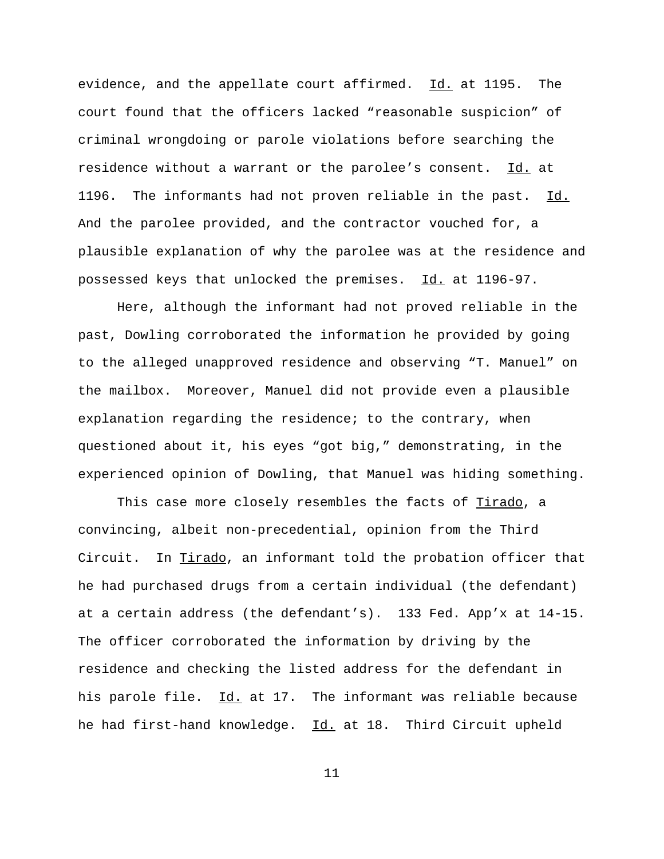evidence, and the appellate court affirmed. Id. at 1195. The court found that the officers lacked "reasonable suspicion" of criminal wrongdoing or parole violations before searching the residence without a warrant or the parolee's consent. Id. at 1196. The informants had not proven reliable in the past. Id. And the parolee provided, and the contractor vouched for, a plausible explanation of why the parolee was at the residence and possessed keys that unlocked the premises. Id. at 1196-97.

Here, although the informant had not proved reliable in the past, Dowling corroborated the information he provided by going to the alleged unapproved residence and observing "T. Manuel" on the mailbox. Moreover, Manuel did not provide even a plausible explanation regarding the residence; to the contrary, when questioned about it, his eyes "got big," demonstrating, in the experienced opinion of Dowling, that Manuel was hiding something.

This case more closely resembles the facts of Tirado, a convincing, albeit non-precedential, opinion from the Third Circuit. In Tirado, an informant told the probation officer that he had purchased drugs from a certain individual (the defendant) at a certain address (the defendant's). 133 Fed. App'x at 14-15. The officer corroborated the information by driving by the residence and checking the listed address for the defendant in his parole file. Id. at 17. The informant was reliable because he had first-hand knowledge. Id. at 18. Third Circuit upheld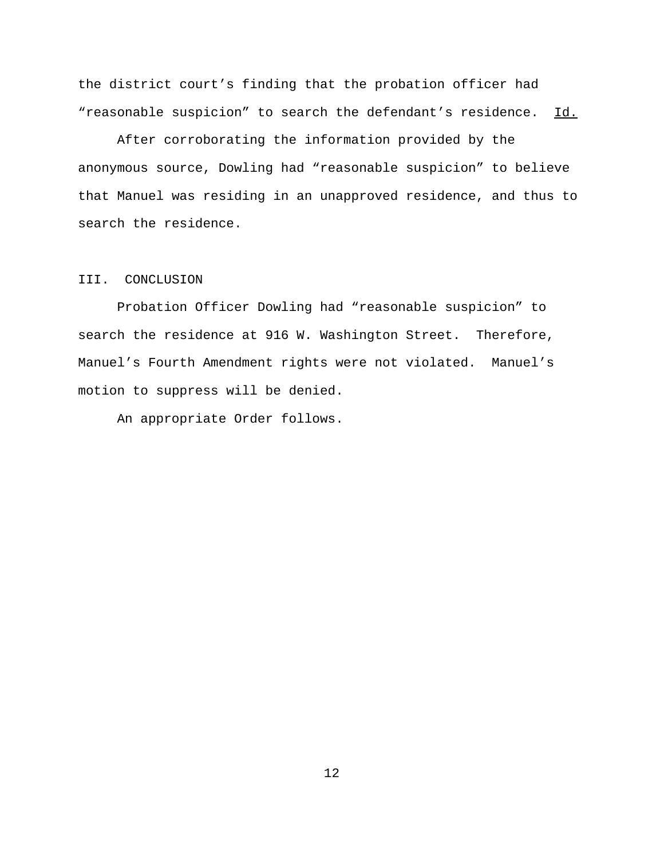the district court's finding that the probation officer had "reasonable suspicion" to search the defendant's residence. Id.

After corroborating the information provided by the anonymous source, Dowling had "reasonable suspicion" to believe that Manuel was residing in an unapproved residence, and thus to search the residence.

### III. CONCLUSION

Probation Officer Dowling had "reasonable suspicion" to search the residence at 916 W. Washington Street. Therefore, Manuel's Fourth Amendment rights were not violated. Manuel's motion to suppress will be denied.

An appropriate Order follows.